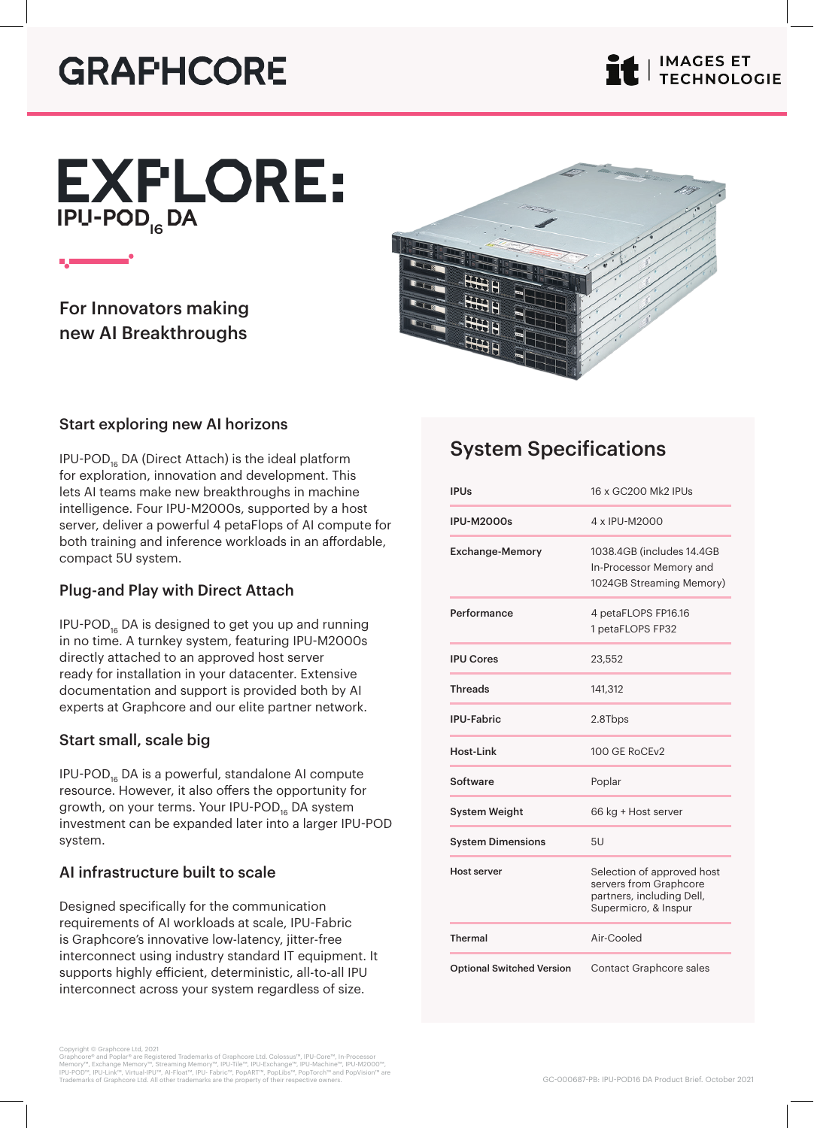# **GRAPHCORE**

# IPU-POD<sub>I6</sub> DA EXPLORE:



For Innovators making new AI Breakthroughs



# Start exploring new AI horizons

IPU-POD<sub>16</sub> DA (Direct Attach) is the ideal platform for exploration, innovation and development. This lets AI teams make new breakthroughs in machine intelligence. Four IPU-M2000s, supported by a host server, deliver a powerful 4 petaFlops of AI compute for both training and inference workloads in an affordable, compact 5U system.

# Plug-and Play with Direct Attach

IPU-POD<sub>16</sub> DA is designed to get you up and running in no time. A turnkey system, featuring IPU-M2000s directly attached to an approved host server ready for installation in your datacenter. Extensive documentation and support is provided both by AI experts at Graphcore and our elite partner network.

# Start small, scale big

IPU-POD<sub>16</sub> DA is a powerful, standalone AI compute resource. However, it also offers the opportunity for growth, on your terms. Your IPU-POD<sub>16</sub> DA system investment can be expanded later into a larger IPU-POD system.

# AI infrastructure built to scale

Designed specifically for the communication requirements of AI workloads at scale, IPU-Fabric is Graphcore's innovative low-latency, jitter-free interconnect using industry standard IT equipment. It supports highly efficient, deterministic, all-to-all IPU interconnect across your system regardless of size.

Copyright © Graphcore Ltd, 2021<br>Graphcore® and Poplar® are Registered Trademarks of Graphcore Ltd. Colossus™, IPU-Core™, In-Processor<br>Memory™, Exchange Memory™, Streaming Memory™, IPU-Tile™, IPU-Exchange™, IPU-Machine™, IP

# System Specifications

| <b>IPUs</b>                      | 16 x GC200 Mk2 IPUs                                                                                       |
|----------------------------------|-----------------------------------------------------------------------------------------------------------|
| <b>IPU-M2000s</b>                | 4 x IPU-M2000                                                                                             |
| <b>Exchange-Memory</b>           | 1038.4GB (includes 14.4GB<br>In-Processor Memory and<br>1024GB Streaming Memory)                          |
| Performance                      | 4 petaFLOPS FP16.16<br>1 petaFLOPS FP32                                                                   |
| <b>IPU Cores</b>                 | 23,552                                                                                                    |
| <b>Threads</b>                   | 141,312                                                                                                   |
| <b>IPU-Fabric</b>                | 2.8Tbps                                                                                                   |
| Host-Link                        | 100 GE RoCEv2                                                                                             |
| Software                         | Poplar                                                                                                    |
| <b>System Weight</b>             | 66 kg + Host server                                                                                       |
| <b>System Dimensions</b>         | 5U                                                                                                        |
| <b>Host server</b>               | Selection of approved host<br>servers from Graphcore<br>partners, including Dell,<br>Supermicro, & Inspur |
| <b>Thermal</b>                   | Air-Cooled                                                                                                |
| <b>Optional Switched Version</b> | <b>Contact Graphcore sales</b>                                                                            |